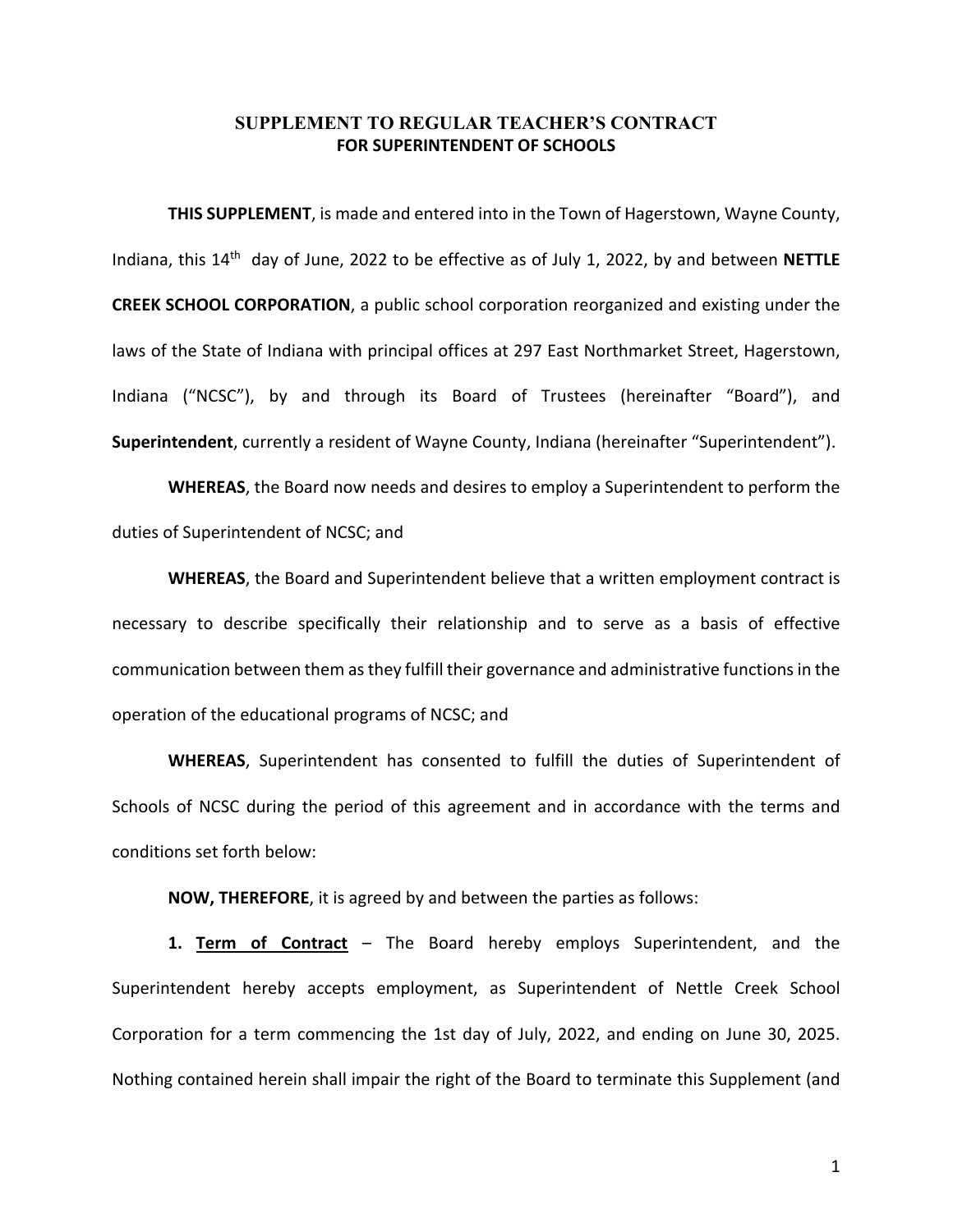## **SUPPLEMENT TO REGULAR TEACHER'S CONTRACT FOR SUPERINTENDENT OF SCHOOLS**

**THIS SUPPLEMENT**, is made and entered into in the Town of Hagerstown, Wayne County, Indiana, this 14th day of June, 2022 to be effective as of July 1, 2022, by and between **NETTLE CREEK SCHOOL CORPORATION**, a public school corporation reorganized and existing under the laws of the State of Indiana with principal offices at 297 East Northmarket Street, Hagerstown, Indiana ("NCSC"), by and through its Board of Trustees (hereinafter "Board"), and **Superintendent**, currently a resident of Wayne County, Indiana (hereinafter "Superintendent").

**WHEREAS**, the Board now needs and desires to employ a Superintendent to perform the duties of Superintendent of NCSC; and

**WHEREAS**, the Board and Superintendent believe that a written employment contract is necessary to describe specifically their relationship and to serve as a basis of effective communication between them as they fulfill their governance and administrative functions in the operation of the educational programs of NCSC; and

**WHEREAS**, Superintendent has consented to fulfill the duties of Superintendent of Schools of NCSC during the period of this agreement and in accordance with the terms and conditions set forth below:

**NOW, THEREFORE**, it is agreed by and between the parties as follows:

**1. Term of Contract** – The Board hereby employs Superintendent, and the Superintendent hereby accepts employment, as Superintendent of Nettle Creek School Corporation for a term commencing the 1st day of July, 2022, and ending on June 30, 2025. Nothing contained herein shall impair the right of the Board to terminate this Supplement (and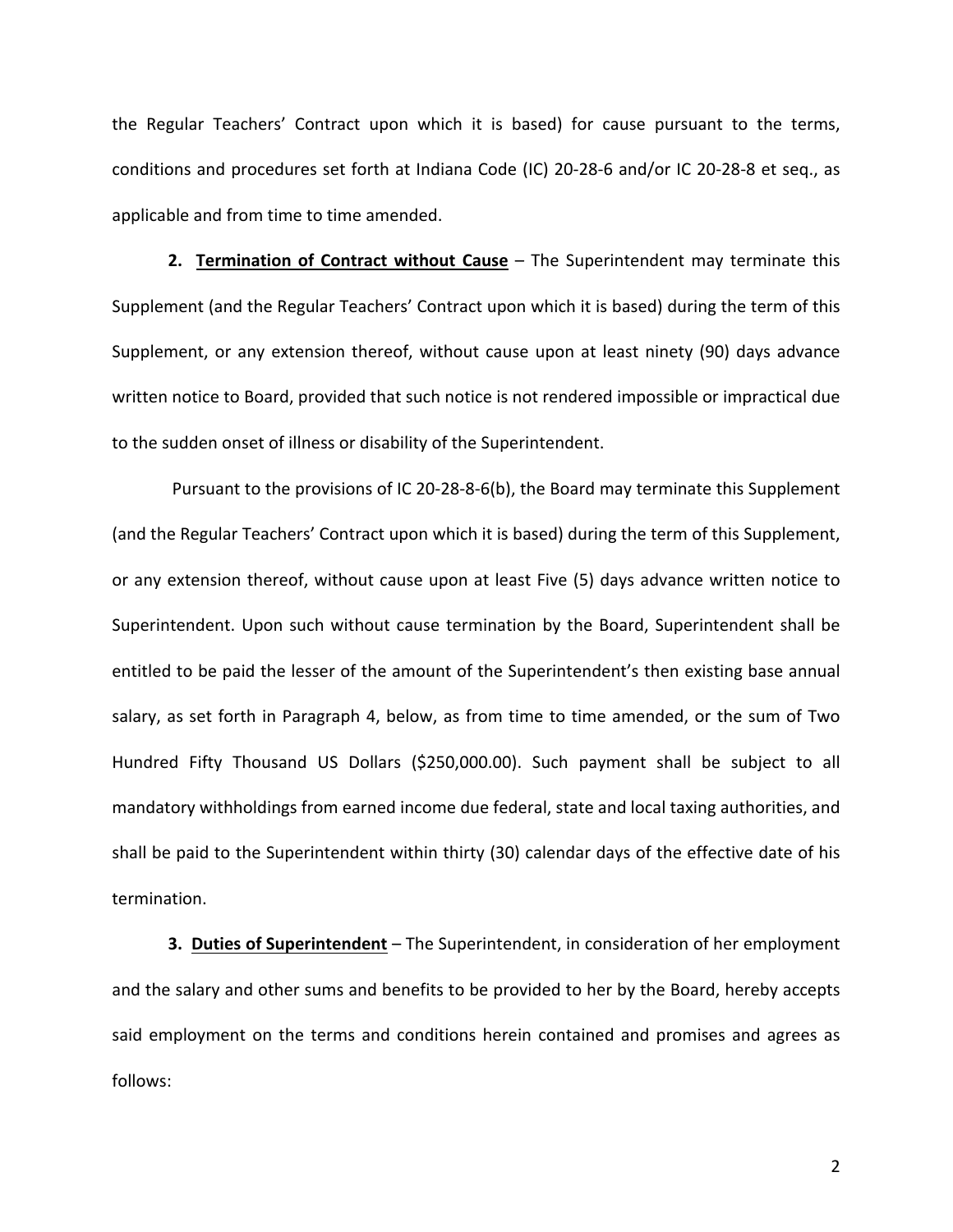the Regular Teachers' Contract upon which it is based) for cause pursuant to the terms, conditions and procedures set forth at Indiana Code (IC) 20-28-6 and/or IC 20-28-8 et seq., as applicable and from time to time amended.

**2. Termination of Contract without Cause** – The Superintendent may terminate this Supplement (and the Regular Teachers' Contract upon which it is based) during the term of this Supplement, or any extension thereof, without cause upon at least ninety (90) days advance written notice to Board, provided that such notice is not rendered impossible or impractical due to the sudden onset of illness or disability of the Superintendent.

Pursuant to the provisions of IC 20-28-8-6(b), the Board may terminate this Supplement (and the Regular Teachers' Contract upon which it is based) during the term of this Supplement, or any extension thereof, without cause upon at least Five (5) days advance written notice to Superintendent. Upon such without cause termination by the Board, Superintendent shall be entitled to be paid the lesser of the amount of the Superintendent's then existing base annual salary, as set forth in Paragraph 4, below, as from time to time amended, or the sum of Two Hundred Fifty Thousand US Dollars (\$250,000.00). Such payment shall be subject to all mandatory withholdings from earned income due federal, state and local taxing authorities, and shall be paid to the Superintendent within thirty (30) calendar days of the effective date of his termination.

**3. Duties of Superintendent** – The Superintendent, in consideration of her employment and the salary and other sums and benefits to be provided to her by the Board, hereby accepts said employment on the terms and conditions herein contained and promises and agrees as follows: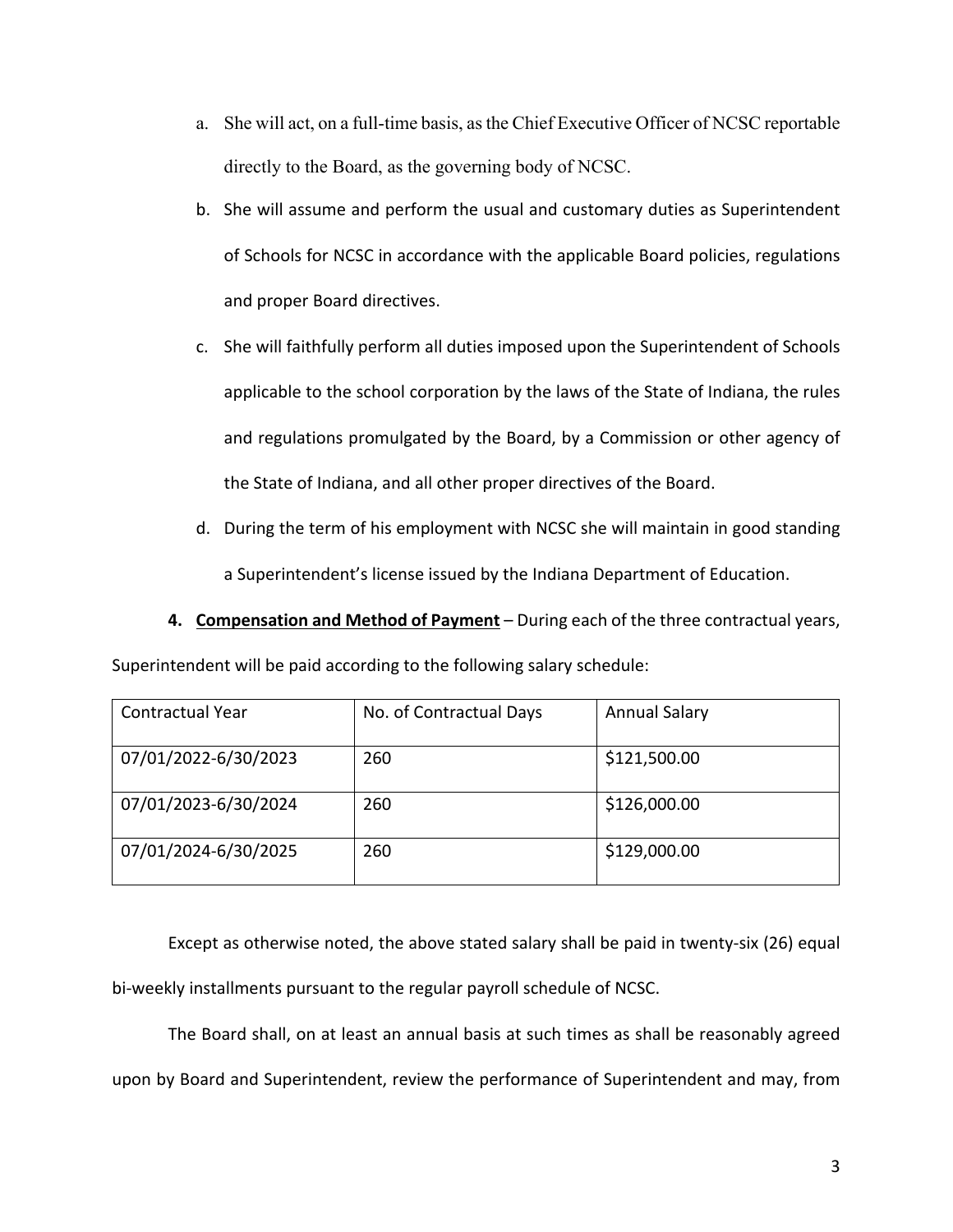- a. She will act, on a full-time basis, as the Chief Executive Officer of NCSC reportable directly to the Board, as the governing body of NCSC.
- b. She will assume and perform the usual and customary duties as Superintendent of Schools for NCSC in accordance with the applicable Board policies, regulations and proper Board directives.
- c. She will faithfully perform all duties imposed upon the Superintendent of Schools applicable to the school corporation by the laws of the State of Indiana, the rules and regulations promulgated by the Board, by a Commission or other agency of the State of Indiana, and all other proper directives of the Board.
- d. During the term of his employment with NCSC she will maintain in good standing a Superintendent's license issued by the Indiana Department of Education.
- **4. Compensation and Method of Payment** During each of the three contractual years,

| Superintendent will be paid according to the following salary schedule: |  |  |  |
|-------------------------------------------------------------------------|--|--|--|
|-------------------------------------------------------------------------|--|--|--|

| <b>Contractual Year</b> | No. of Contractual Days | <b>Annual Salary</b> |
|-------------------------|-------------------------|----------------------|
| 07/01/2022-6/30/2023    | 260                     | \$121,500.00         |
| 07/01/2023-6/30/2024    | 260                     | \$126,000.00         |
| 07/01/2024-6/30/2025    | 260                     | \$129,000.00         |

Except as otherwise noted, the above stated salary shall be paid in twenty-six (26) equal bi-weekly installments pursuant to the regular payroll schedule of NCSC.

The Board shall, on at least an annual basis at such times as shall be reasonably agreed upon by Board and Superintendent, review the performance of Superintendent and may, from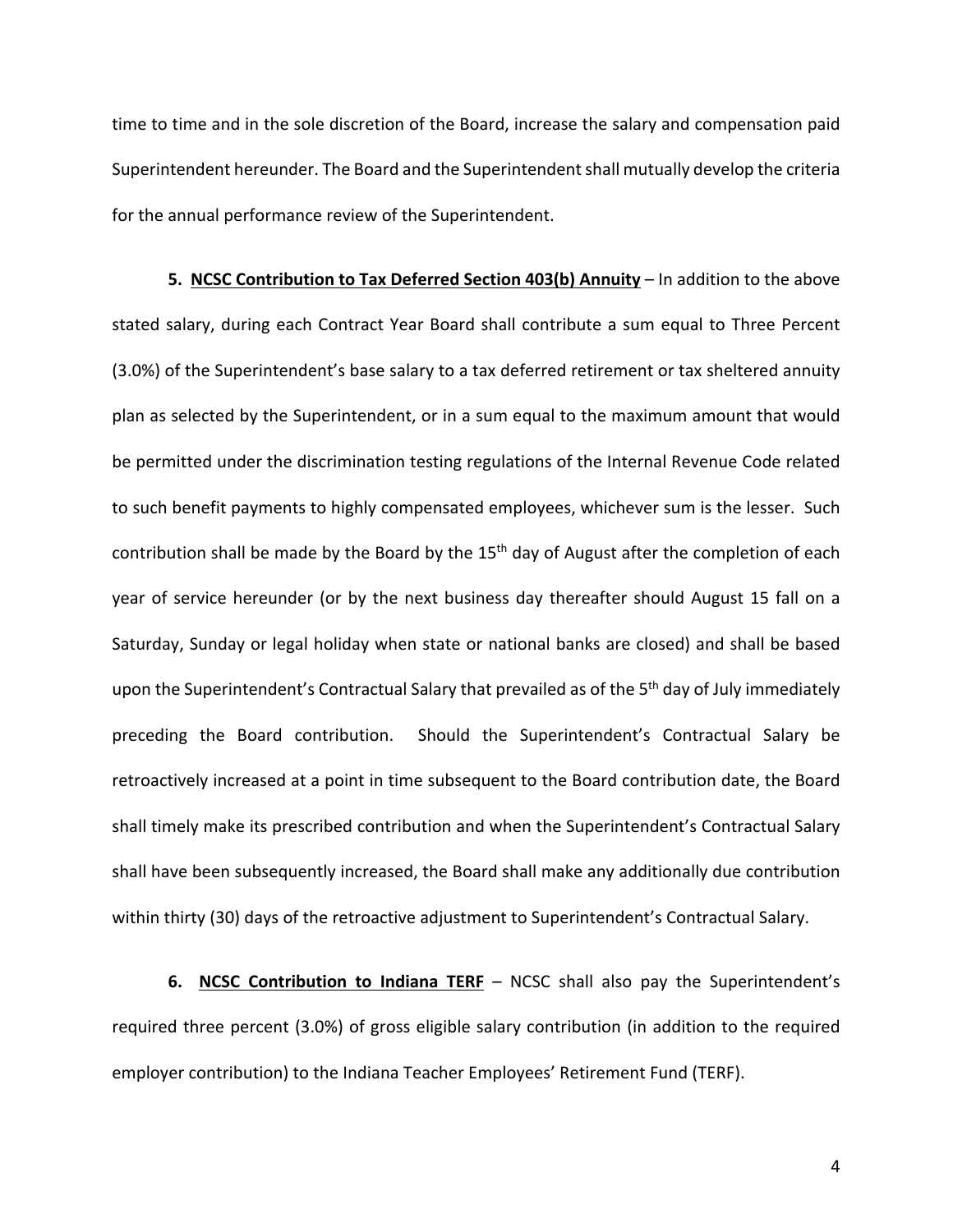time to time and in the sole discretion of the Board, increase the salary and compensation paid Superintendent hereunder. The Board and the Superintendent shall mutually develop the criteria for the annual performance review of the Superintendent.

**5. NCSC Contribution to Tax Deferred Section 403(b) Annuity** – In addition to the above stated salary, during each Contract Year Board shall contribute a sum equal to Three Percent (3.0%) of the Superintendent's base salary to a tax deferred retirement or tax sheltered annuity plan as selected by the Superintendent, or in a sum equal to the maximum amount that would be permitted under the discrimination testing regulations of the Internal Revenue Code related to such benefit payments to highly compensated employees, whichever sum is the lesser. Such contribution shall be made by the Board by the 15<sup>th</sup> day of August after the completion of each year of service hereunder (or by the next business day thereafter should August 15 fall on a Saturday, Sunday or legal holiday when state or national banks are closed) and shall be based upon the Superintendent's Contractual Salary that prevailed as of the 5<sup>th</sup> day of July immediately preceding the Board contribution. Should the Superintendent's Contractual Salary be retroactively increased at a point in time subsequent to the Board contribution date, the Board shall timely make its prescribed contribution and when the Superintendent's Contractual Salary shall have been subsequently increased, the Board shall make any additionally due contribution within thirty (30) days of the retroactive adjustment to Superintendent's Contractual Salary.

**6. NCSC Contribution to Indiana TERF** – NCSC shall also pay the Superintendent's required three percent (3.0%) of gross eligible salary contribution (in addition to the required employer contribution) to the Indiana Teacher Employees' Retirement Fund (TERF).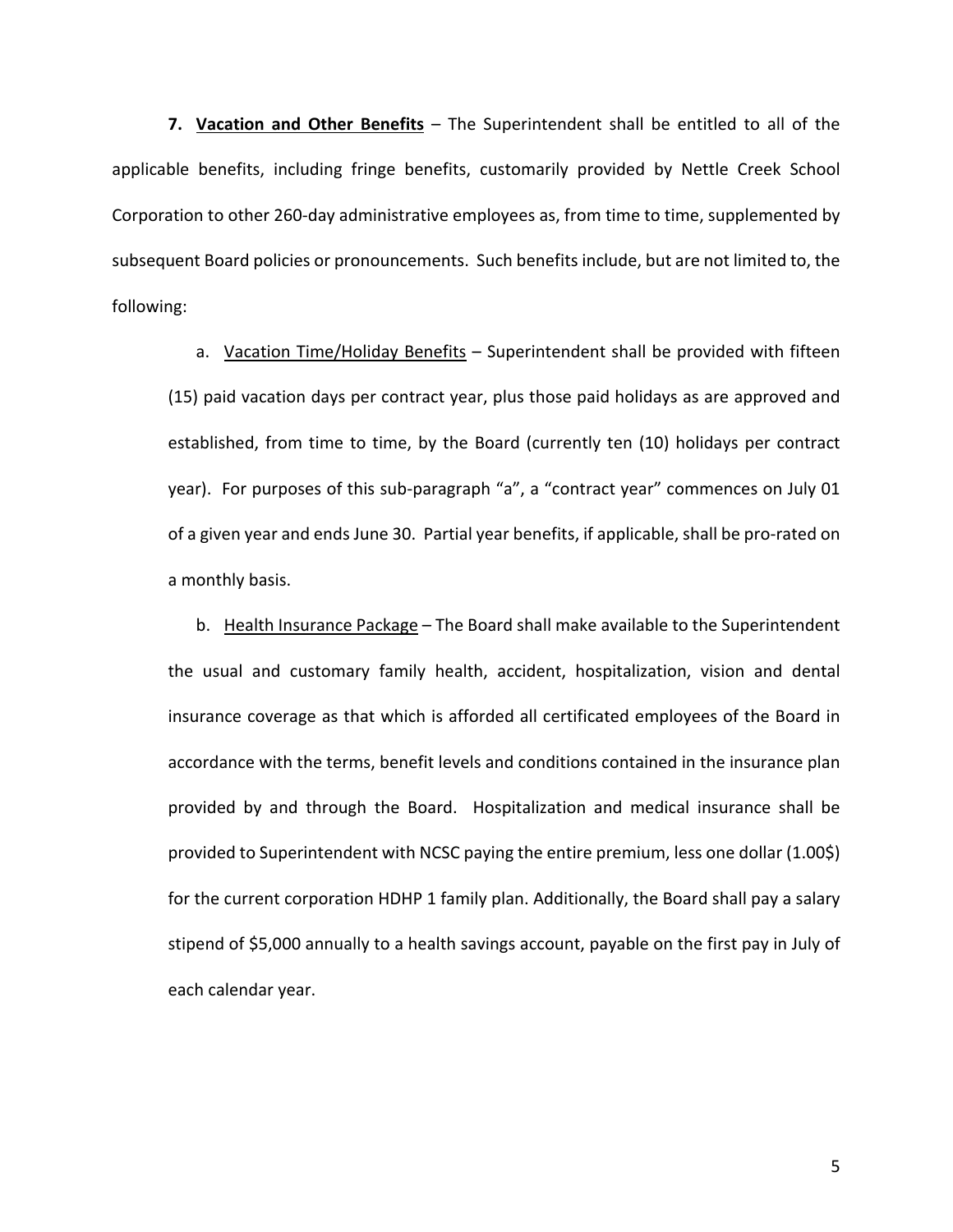**7. Vacation and Other Benefits** – The Superintendent shall be entitled to all of the applicable benefits, including fringe benefits, customarily provided by Nettle Creek School Corporation to other 260-day administrative employees as, from time to time, supplemented by subsequent Board policies or pronouncements. Such benefits include, but are not limited to, the following:

a. Vacation Time/Holiday Benefits - Superintendent shall be provided with fifteen (15) paid vacation days per contract year, plus those paid holidays as are approved and established, from time to time, by the Board (currently ten (10) holidays per contract year). For purposes of this sub-paragraph "a", a "contract year" commences on July 01 of a given year and ends June 30. Partial year benefits, if applicable, shall be pro-rated on a monthly basis.

b. Health Insurance Package – The Board shall make available to the Superintendent the usual and customary family health, accident, hospitalization, vision and dental insurance coverage as that which is afforded all certificated employees of the Board in accordance with the terms, benefit levels and conditions contained in the insurance plan provided by and through the Board. Hospitalization and medical insurance shall be provided to Superintendent with NCSC paying the entire premium, less one dollar (1.00\$) for the current corporation HDHP 1 family plan. Additionally, the Board shall pay a salary stipend of \$5,000 annually to a health savings account, payable on the first pay in July of each calendar year.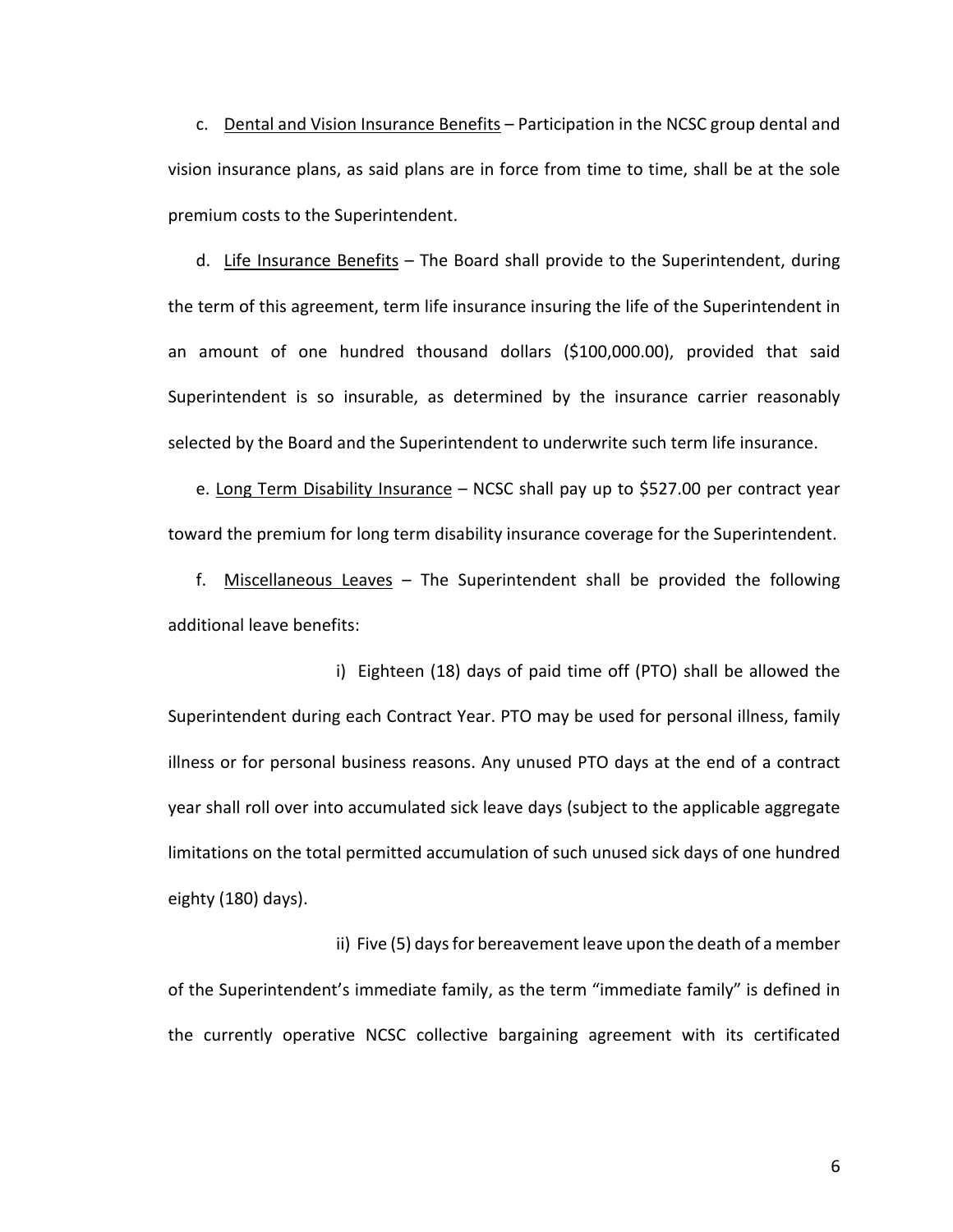c. Dental and Vision Insurance Benefits – Participation in the NCSC group dental and vision insurance plans, as said plans are in force from time to time, shall be at the sole premium costs to the Superintendent.

d. Life Insurance Benefits – The Board shall provide to the Superintendent, during the term of this agreement, term life insurance insuring the life of the Superintendent in an amount of one hundred thousand dollars (\$100,000.00), provided that said Superintendent is so insurable, as determined by the insurance carrier reasonably selected by the Board and the Superintendent to underwrite such term life insurance.

e. Long Term Disability Insurance – NCSC shall pay up to \$527.00 per contract year toward the premium for long term disability insurance coverage for the Superintendent.

f. Miscellaneous Leaves – The Superintendent shall be provided the following additional leave benefits:

i) Eighteen (18) days of paid time off (PTO) shall be allowed the Superintendent during each Contract Year. PTO may be used for personal illness, family illness or for personal business reasons. Any unused PTO days at the end of a contract year shall roll over into accumulated sick leave days (subject to the applicable aggregate limitations on the total permitted accumulation of such unused sick days of one hundred eighty (180) days).

ii) Five (5) days for bereavement leave upon the death of a member of the Superintendent's immediate family, as the term "immediate family" is defined in the currently operative NCSC collective bargaining agreement with its certificated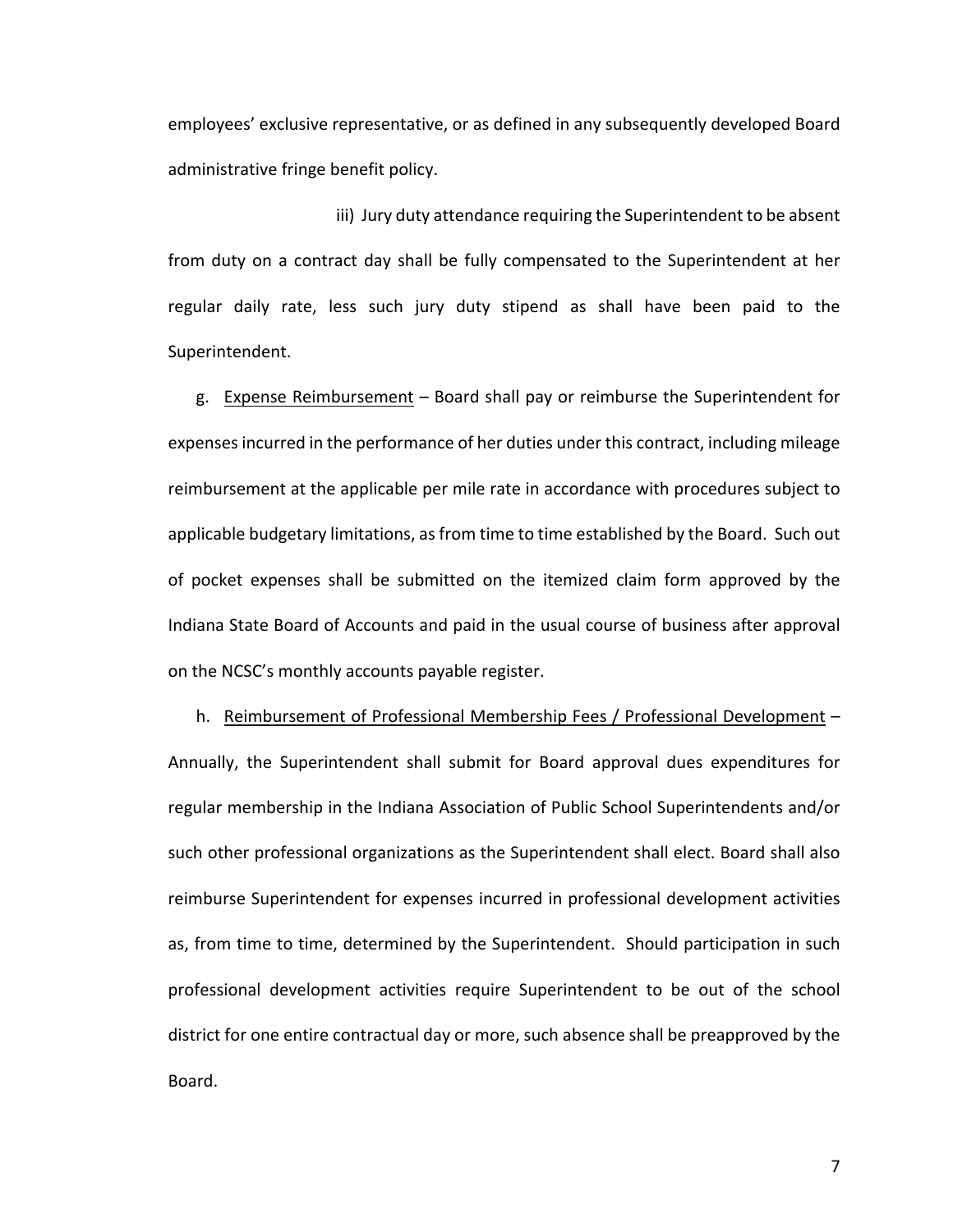employees' exclusive representative, or as defined in any subsequently developed Board administrative fringe benefit policy.

iii) Jury duty attendance requiring the Superintendent to be absent from duty on a contract day shall be fully compensated to the Superintendent at her regular daily rate, less such jury duty stipend as shall have been paid to the Superintendent.

g. Expense Reimbursement – Board shall pay or reimburse the Superintendent for expenses incurred in the performance of her duties under this contract, including mileage reimbursement at the applicable per mile rate in accordance with procedures subject to applicable budgetary limitations, as from time to time established by the Board. Such out of pocket expenses shall be submitted on the itemized claim form approved by the Indiana State Board of Accounts and paid in the usual course of business after approval on the NCSC's monthly accounts payable register.

h. Reimbursement of Professional Membership Fees / Professional Development – Annually, the Superintendent shall submit for Board approval dues expenditures for regular membership in the Indiana Association of Public School Superintendents and/or such other professional organizations as the Superintendent shall elect. Board shall also reimburse Superintendent for expenses incurred in professional development activities as, from time to time, determined by the Superintendent. Should participation in such professional development activities require Superintendent to be out of the school district for one entire contractual day or more, such absence shall be preapproved by the Board.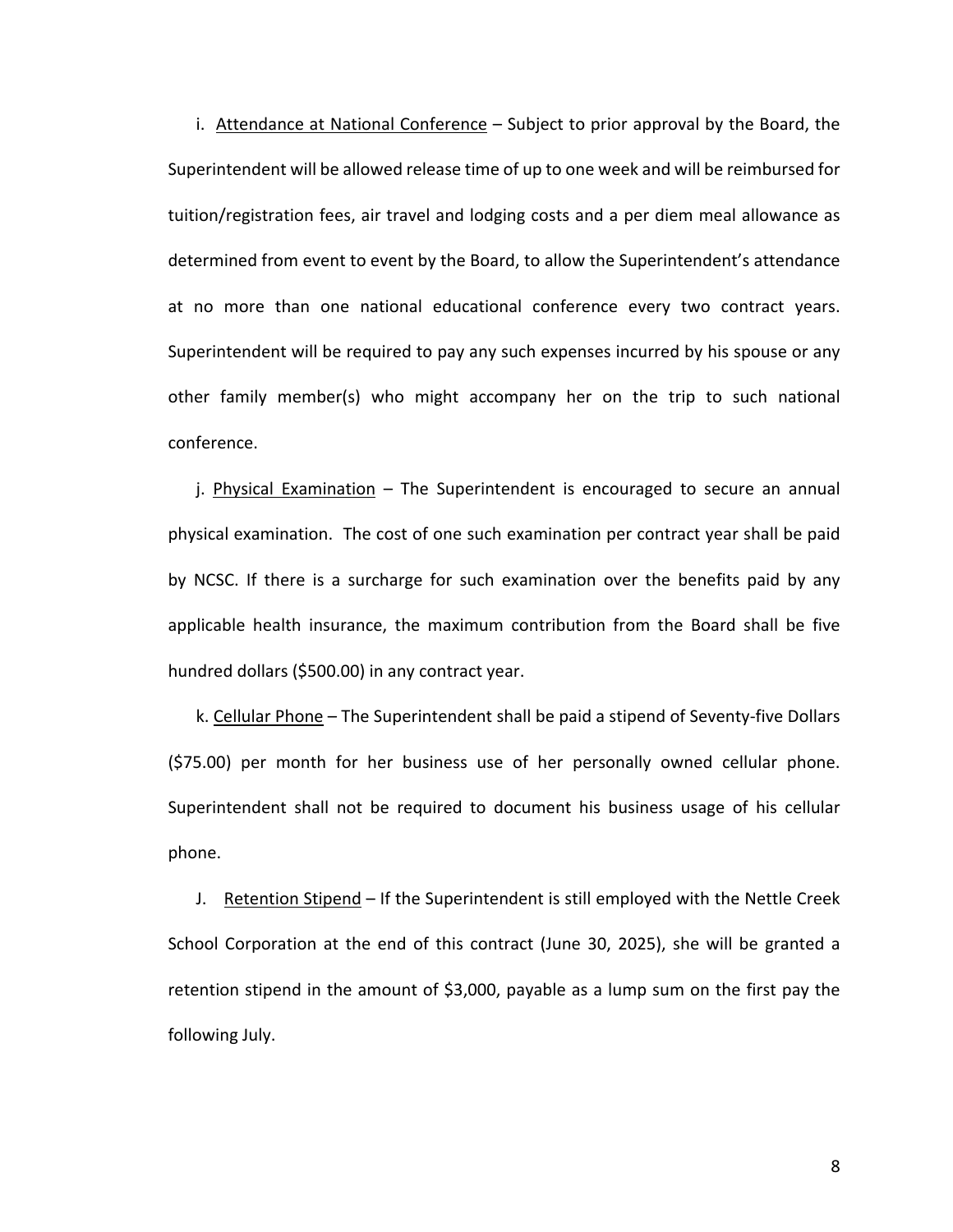i. Attendance at National Conference - Subject to prior approval by the Board, the Superintendent will be allowed release time of up to one week and will be reimbursed for tuition/registration fees, air travel and lodging costs and a per diem meal allowance as determined from event to event by the Board, to allow the Superintendent's attendance at no more than one national educational conference every two contract years. Superintendent will be required to pay any such expenses incurred by his spouse or any other family member(s) who might accompany her on the trip to such national conference.

j. Physical Examination – The Superintendent is encouraged to secure an annual physical examination. The cost of one such examination per contract year shall be paid by NCSC. If there is a surcharge for such examination over the benefits paid by any applicable health insurance, the maximum contribution from the Board shall be five hundred dollars (\$500.00) in any contract year.

k. Cellular Phone – The Superintendent shall be paid a stipend of Seventy-five Dollars (\$75.00) per month for her business use of her personally owned cellular phone. Superintendent shall not be required to document his business usage of his cellular phone.

J. Retention Stipend – If the Superintendent is still employed with the Nettle Creek School Corporation at the end of this contract (June 30, 2025), she will be granted a retention stipend in the amount of \$3,000, payable as a lump sum on the first pay the following July.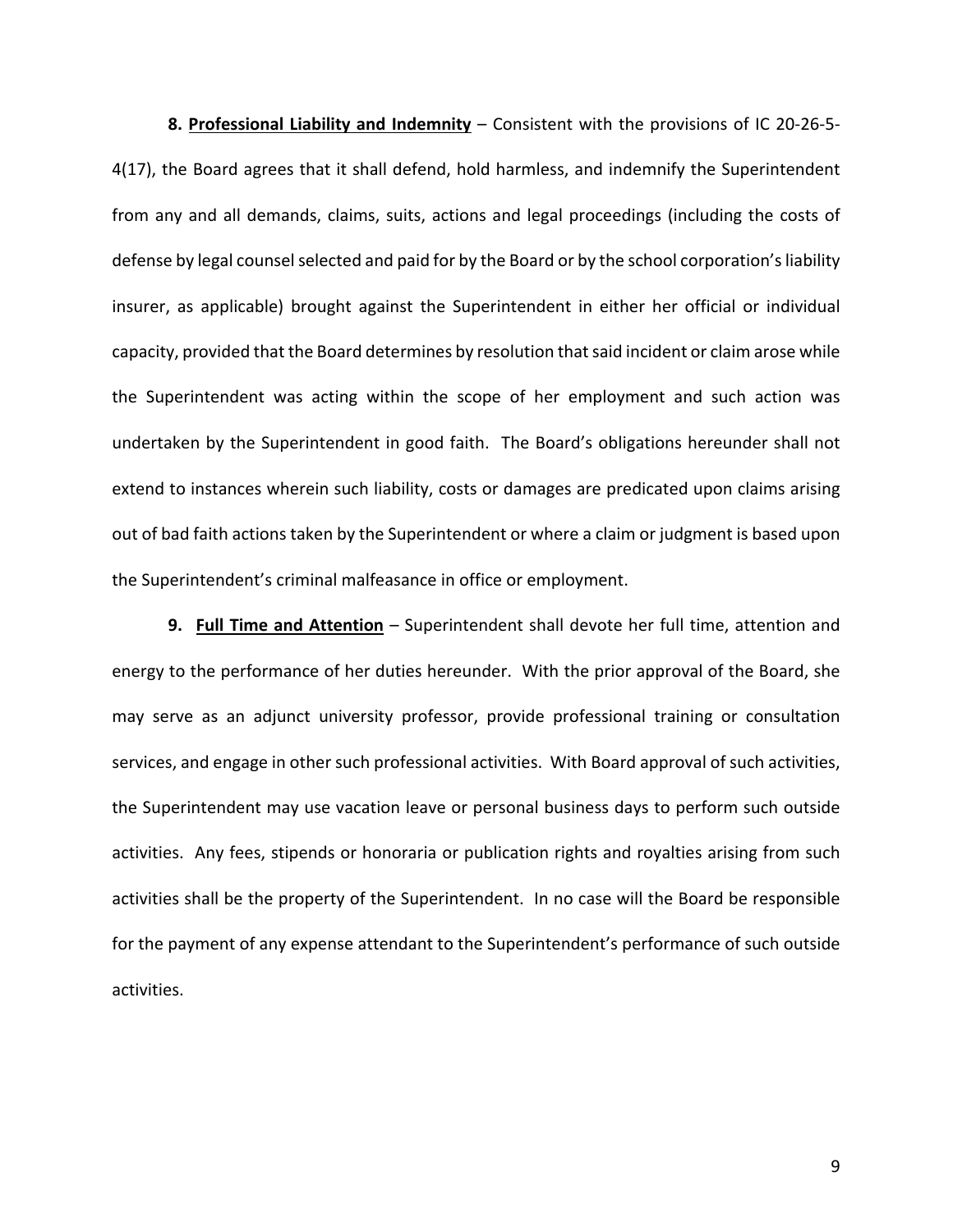**8. Professional Liability and Indemnity** – Consistent with the provisions of IC 20-26-5- 4(17), the Board agrees that it shall defend, hold harmless, and indemnify the Superintendent from any and all demands, claims, suits, actions and legal proceedings (including the costs of defense by legal counsel selected and paid for by the Board or by the school corporation's liability insurer, as applicable) brought against the Superintendent in either her official or individual capacity, provided that the Board determines by resolution that said incident or claim arose while the Superintendent was acting within the scope of her employment and such action was undertaken by the Superintendent in good faith. The Board's obligations hereunder shall not extend to instances wherein such liability, costs or damages are predicated upon claims arising out of bad faith actions taken by the Superintendent or where a claim or judgment is based upon the Superintendent's criminal malfeasance in office or employment.

**9. Full Time and Attention** – Superintendent shall devote her full time, attention and energy to the performance of her duties hereunder. With the prior approval of the Board, she may serve as an adjunct university professor, provide professional training or consultation services, and engage in other such professional activities. With Board approval of such activities, the Superintendent may use vacation leave or personal business days to perform such outside activities. Any fees, stipends or honoraria or publication rights and royalties arising from such activities shall be the property of the Superintendent. In no case will the Board be responsible for the payment of any expense attendant to the Superintendent's performance of such outside activities.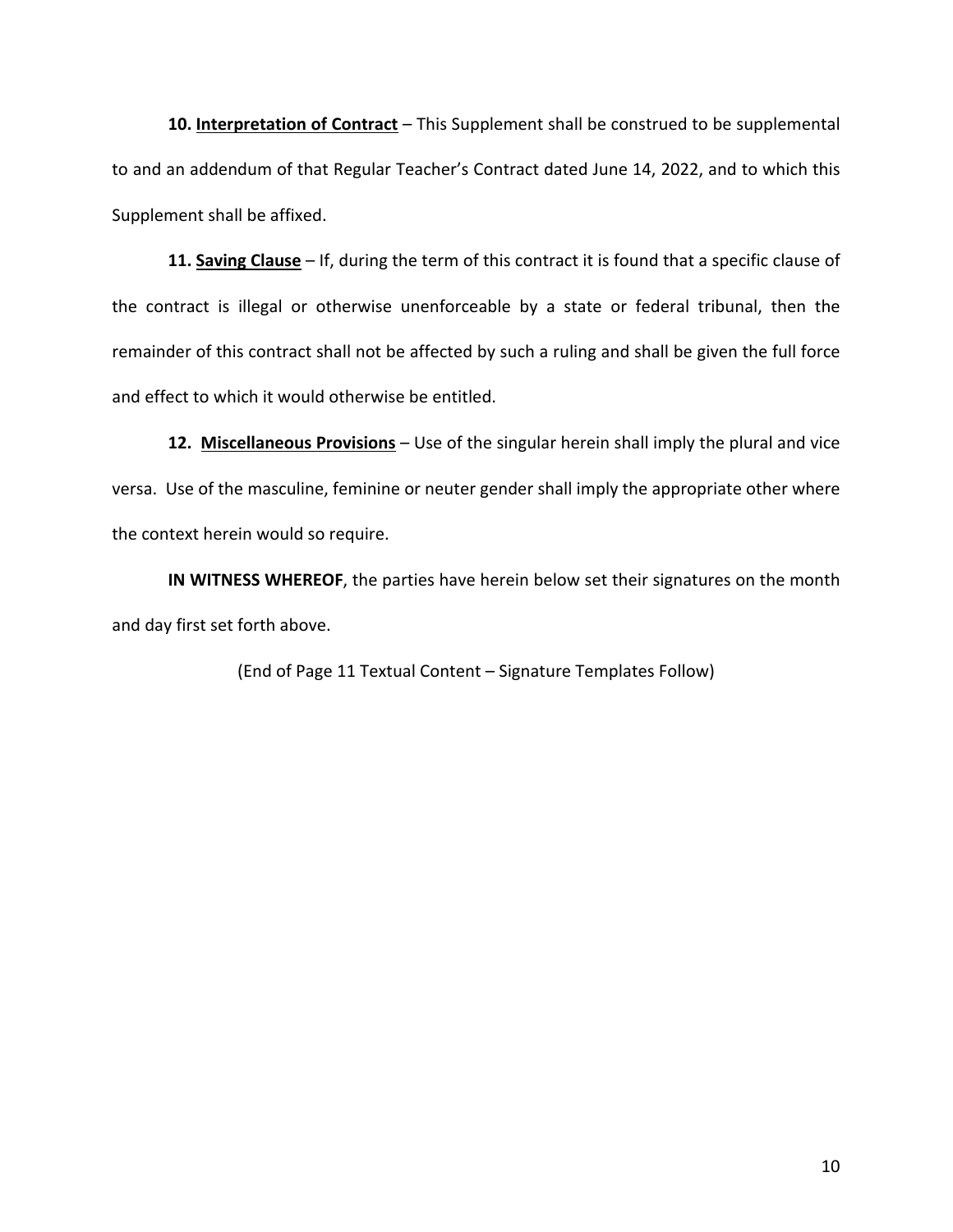**10. Interpretation of Contract** – This Supplement shall be construed to be supplemental to and an addendum of that Regular Teacher's Contract dated June 14, 2022, and to which this Supplement shall be affixed.

**11. Saving Clause** – If, during the term of this contract it is found that a specific clause of the contract is illegal or otherwise unenforceable by a state or federal tribunal, then the remainder of this contract shall not be affected by such a ruling and shall be given the full force and effect to which it would otherwise be entitled.

**12. Miscellaneous Provisions** – Use of the singular herein shall imply the plural and vice versa. Use of the masculine, feminine or neuter gender shall imply the appropriate other where the context herein would so require.

**IN WITNESS WHEREOF**, the parties have herein below set their signatures on the month and day first set forth above.

(End of Page 11 Textual Content – Signature Templates Follow)